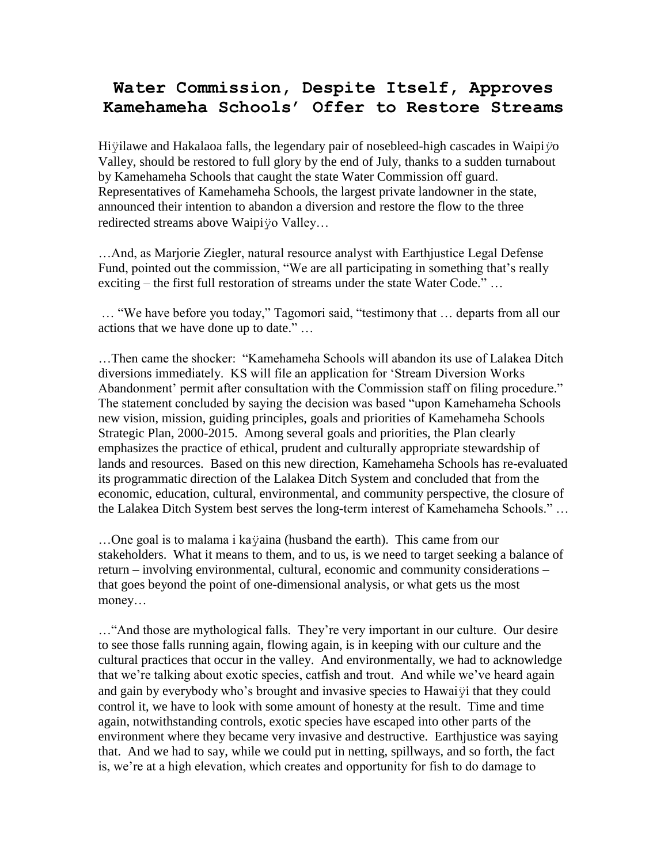## **Water Commission, Despite Itself, Approves Kamehameha Schools' Offer to Restore Streams**

Hiÿilawe and Hakalaoa falls, the legendary pair of nosebleed-high cascades in Waipi*ÿ*o Valley, should be restored to full glory by the end of July, thanks to a sudden turnabout by Kamehameha Schools that caught the state Water Commission off guard. Representatives of Kamehameha Schools, the largest private landowner in the state, announced their intention to abandon a diversion and restore the flow to the three redirected streams above Waipiÿo Valley…

…And, as Marjorie Ziegler, natural resource analyst with Earthjustice Legal Defense Fund, pointed out the commission, "We are all participating in something that's really exciting – the first full restoration of streams under the state Water Code." ...

… "We have before you today," Tagomori said, "testimony that … departs from all our actions that we have done up to date." …

…Then came the shocker: "Kamehameha Schools will abandon its use of Lalakea Ditch diversions immediately. KS will file an application for "Stream Diversion Works Abandonment' permit after consultation with the Commission staff on filing procedure." The statement concluded by saying the decision was based "upon Kamehameha Schools new vision, mission, guiding principles, goals and priorities of Kamehameha Schools Strategic Plan, 2000-2015. Among several goals and priorities, the Plan clearly emphasizes the practice of ethical, prudent and culturally appropriate stewardship of lands and resources. Based on this new direction, Kamehameha Schools has re-evaluated its programmatic direction of the Lalakea Ditch System and concluded that from the economic, education, cultural, environmental, and community perspective, the closure of the Lalakea Ditch System best serves the long-term interest of Kamehameha Schools." …

…One goal is to malama i kaÿaina (husband the earth). This came from our stakeholders. What it means to them, and to us, is we need to target seeking a balance of return – involving environmental, cultural, economic and community considerations – that goes beyond the point of one-dimensional analysis, or what gets us the most money…

…"And those are mythological falls. They"re very important in our culture. Our desire to see those falls running again, flowing again, is in keeping with our culture and the cultural practices that occur in the valley. And environmentally, we had to acknowledge that we"re talking about exotic species, catfish and trout. And while we"ve heard again and gain by everybody who"s brought and invasive species to Hawaiÿi that they could control it, we have to look with some amount of honesty at the result. Time and time again, notwithstanding controls, exotic species have escaped into other parts of the environment where they became very invasive and destructive. Earthjustice was saying that. And we had to say, while we could put in netting, spillways, and so forth, the fact is, we"re at a high elevation, which creates and opportunity for fish to do damage to